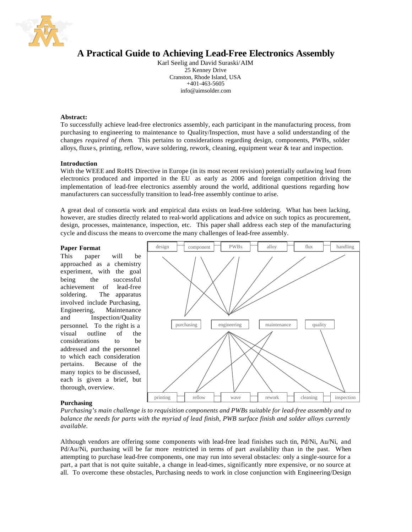

# **A Practical Guide to Achieving Lead-Free Electronics Assembly**

Karl Seelig and David Suraski/AIM 25 Kenney Drive Cranston, Rhode Island, USA +401-463-5605 info@aimsolder.com

#### **Abstract:**

To successfully achieve lead-free electronics assembly, each participant in the manufacturing process, from purchasing to engineering to maintenance to Quality/Inspection, must have a solid understanding of the changes *required of them*. This pertains to considerations regarding design, components, PWBs, solder alloys, fluxe s, printing, reflow, wave soldering, rework, cleaning, equipment wear  $\&$  tear and inspection.

## **Introduction**

With the WEEE and RoHS Directive in Europe (in its most recent revision) potentially outlawing lead from electronics produced and imported in the EU as early as 2006 and foreign competition driving the implementation of lead-free electronics assembly around the world, additional questions regarding how manufacturers can successfully transition to lead-free assembly continue to arise.

A great deal of consortia work and empirical data exists on lead-free soldering. What has been lacking, however, are studies directly related to real-world applications and advice on such topics as procurement, design, processes, maintenance, inspection, etc. This paper shall address each step of the manufacturing cycle and discuss the means to overcome the many challenges of lead-free assembly.

#### **Paper Format**

This paper will be approached as a chemistry experiment, with the goal being the successful achievement of lead-free soldering. The apparatus involved include Purchasing, Engineering, Maintenance and Inspection/Quality personnel. To the right is a visual outline of the considerations to be addressed and the personnel to which each consideration pertains. Because of the many topics to be discussed, each is given a brief, but thorough, overview.



## **Purchasing**

*Purchasing's main challenge is to requisition components and PWBs suitable for lead-free assembly and to balance the needs for parts with the myriad of lead finish, PWB surface finish and solder alloys currently available.* 

Although vendors are offering some components with lead-free lead finishes such tin, Pd/Ni, Au/Ni, and Pd/Au/Ni, purchasing will be far more restricted in terms of part availability than in the past. When attempting to purchase lead-free components, one may run into several obstacles: only a single-source for a part, a part that is not quite suitable, a change in lead-times, significantly more expensive, or no source at all. To overcome these obstacles, Purchasing needs to work in close conjunction with Engineering/Design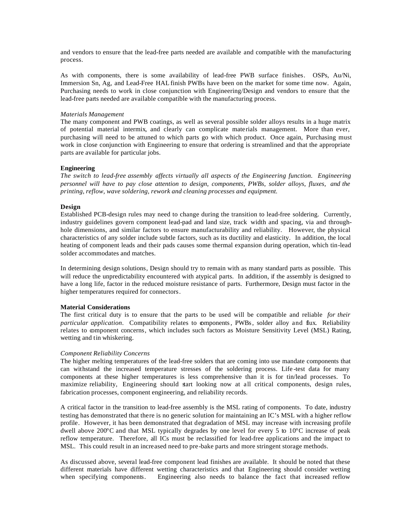and vendors to ensure that the lead-free parts needed are available and compatible with the manufacturing process.

As with components, there is some availability of lead-free PWB surface finishes. OSPs, Au/Ni, Immersion Sn, Ag, and Lead-Free HAL finish PWBs have been on the market for some time now. Again, Purchasing needs to work in close conjunction with Engineering/Design and vendors to ensure that the lead-free parts needed are available compatible with the manufacturing process.

#### *Materials Management*

The many component and PWB coatings, as well as several possible solder alloys results in a huge matrix of potential material intermix, and clearly can complicate materials management. More than ever, purchasing will need to be attuned to which parts go with which product. Once again, Purchasing must work in close conjunction with Engineering to ensure that ordering is streamlined and that the appropriate parts are available for particular jobs.

#### **Engineering**

*The switch to lead-free assembly affects virtually all aspects of the Engineering function. Engineering personnel will have to pay close attention to design, components, PWBs, solder alloys, fluxes, and the printing, reflow, wave soldering, rework and cleaning processes and equipment.*

## **Design**

Established PCB-design rules may need to change during the transition to lead-free soldering. Currently, industry guidelines govern component lead-pad and land size, track width and spacing, via and throughhole dimensions, and similar factors to ensure manufacturability and reliability. However, the physical characteristics of any solder include subtle factors, such as its ductility and elasticity. In addition, the local heating of component leads and their pads causes some thermal expansion during operation, which tin-lead solder accommodates and matches.

In determining design solutions, Design should try to remain with as many standard parts as possible. This will reduce the unpredictability encountered with atypical parts. In addition, if the assembly is designed to have a long life, factor in the reduced moisture resistance of parts. Furthermore, Design must factor in the higher temperatures required for connectors.

## **Material Considerations**

The first critical duty is to ensure that the parts to be used will be compatible and reliable *for their particular application*. Compatibility relates to components, PWBs, solder alloy and flux. Reliability relates to component concerns, which includes such factors as Moisture Sensitivity Level (MSL) Rating, wetting and tin whiskering.

#### *Component Reliability Concerns*

The higher melting temperatures of the lead-free solders that are coming into use mandate components that can withstand the increased temperature stresses of the soldering process. Life -test data for many components at these higher temperatures is less comprehensive than it is for tin/lead processes. To maximize reliability, Engineering should start looking now at all critical components, design rules, fabrication processes, component engineering, and reliability records.

A critical factor in the transition to lead-free assembly is the MSL rating of components. To date, industry testing has demonstrated that there is no generic solution for maintaining an IC's MSL with a higher reflow profile. However, it has been demonstrated that degradation of MSL may increase with increasing profile dwell above  $200^{\circ}$ C and that MSL typically degrades by one level for every 5 to  $10^{\circ}$ C increase of peak reflow temperature. Therefore, all ICs must be reclassified for lead-free applications and the impact to MSL. This could result in an increased need to pre-bake parts and more stringent storage methods.

As discussed above, several lead-free component lead finishes are available. It should be noted that these different materials have different wetting characteristics and that Engineering should consider wetting when specifying components. Engineering also needs to balance the fact that increased reflow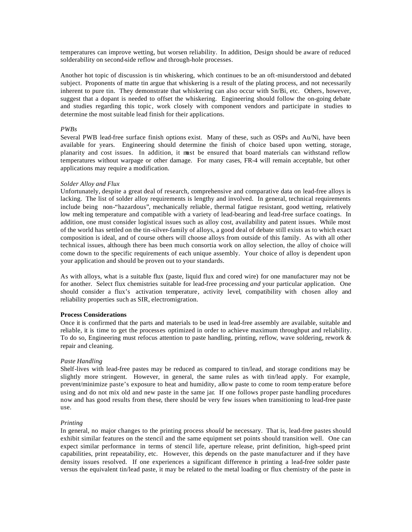temperatures can improve wetting, but worsen reliability. In addition, Design should be aware of reduced solderability on second-side reflow and through-hole processes.

Another hot topic of discussion is tin whiskering, which continues to be an oft-misunderstood and debated subject. Proponents of matte tin argue that whiskering is a result of the plating process, and not necessarily inherent to pure tin. They demonstrate that whiskering can also occur with Sn/Bi, etc. Others, however, suggest that a dopant is needed to offset the whiskering. Engineering should follow the on-going debate and studies regarding this topic, work closely with component vendors and participate in studies to determine the most suitable lead finish for their applications.

#### *PWBs*

Several PWB lead-free surface finish options exist. Many of these, such as OSPs and Au/Ni, have been available for years. Engineering should determine the finish of choice based upon wetting, storage, planarity and cost issues. In addition, it must be ensured that board materials can withstand reflow temperatures without warpage or other damage. For many cases, FR-4 will remain acceptable, but other applications may require a modification.

#### *Solder Alloy and Flux*

Unfortunately, despite a great deal of research, comprehensive and comparative data on lead-free alloys is lacking. The list of solder alloy requirements is lengthy and involved. In general, technical requirements include being non-"hazardous", mechanically reliable, thermal fatigue resistant, good wetting, relatively low melting temperature and compatible with a variety of lead-bearing and lead-free surface coatings. In addition, one must consider logistical issues such as alloy cost, availability and patent issues. While most of the world has settled on the tin-silver-family of alloys, a good deal of debate still exists as to which exact composition is ideal, and of course others will choose alloys from outside of this family. As with all other technical issues, although there has been much consortia work on alloy selection, the alloy of choice will come down to the specific requirements of each unique assembly. Your choice of alloy is dependent upon your application and should be proven out to your standards.

As with alloys, what is a suitable flux (paste, liquid flux and cored wire) for one manufacturer may not be for another. Select flux chemistries suitable for lead-free processing *and* your particular application. One should consider a flux's activation temperature, activity level, compatibility with chosen alloy and reliability properties such as SIR, electromigration.

## **Process Considerations**

Once it is confirmed that the parts and materials to be used in lead-free assembly are available, suitable and reliable, it is time to get the processes optimized in order to achieve maximum throughput and reliability. To do so, Engineering must refocus attention to paste handling, printing, reflow, wave soldering, rework & repair and cleaning.

## *Paste Handling*

Shelf-lives with lead-free pastes may be reduced as compared to tin/lead, and storage conditions may be slightly more stringent. However, in general, the same rules as with tin/lead apply. For example, prevent/minimize paste's exposure to heat and humidity, allow paste to come to room temp erature before using and do not mix old and new paste in the same jar. If one follows proper paste handling procedures now and has good results from these, there should be very few issues when transitioning to lead-free paste use.

## *Printing*

In general, no major changes to the printing process *should* be necessary. That is, lead-free pastes should exhibit similar features on the stencil and the same equipment set points should transition well. One can expect similar performance in terms of stencil life, aperture release, print definition, high-speed print capabilities, print repeatability, etc. However, this depends on the paste manufacturer and if they have density issues resolved. If one experiences a significant difference in printing a lead-free solder paste versus the equivalent tin/lead paste, it may be related to the metal loading or flux chemistry of the paste in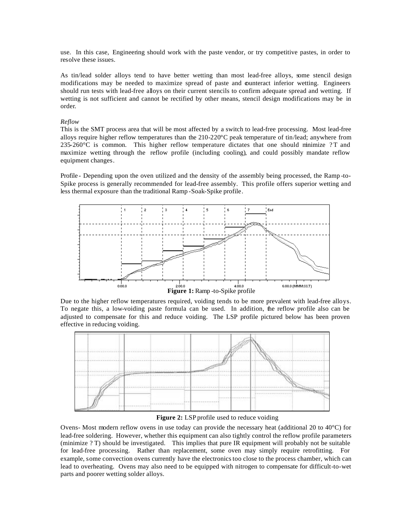use. In this case, Engineering should work with the paste vendor, or try competitive pastes, in order to resolve these issues.

As tin/lead solder alloys tend to have better wetting than most lead-free alloys, some stencil design modifications may be needed to maximize spread of paste and counteract inferior wetting. Engineers should run tests with lead-free alloys on their current stencils to confirm adequate spread and wetting. If wetting is not sufficient and cannot be rectified by other means, stencil design modifications may be in order.

## *Reflow*

This is the SMT process area that will be most affected by a switch to lead-free processing. Most lead-free alloys require higher reflow temperatures than the 210-220°C peak temperature of tin/lead; anywhere from  $235\text{-}260\text{°C}$  is common. This higher reflow temperature dictates that one should minimize ? T and maximize wetting through the reflow profile (including cooling), and could possibly mandate reflow equipment changes.

Profile - Depending upon the oven utilized and the density of the assembly being processed, the Ramp -to-Spike process is generally recommended for lead-free assembly. This profile offers superior wetting and less thermal exposure than the traditional Ramp -Soak-Spike profile.



Due to the higher reflow temperatures required, voiding tends to be more prevalent with lead-free alloys. To negate this, a low-voiding paste formula can be used. In addition, the reflow profile also can be adjusted to compensate for this and reduce voiding. The LSP profile pictured below has been proven effective in reducing voiding.



Figure 2: LSP profile used to reduce voiding

Ovens- Most modern reflow ovens in use today can provide the necessary heat (additional 20 to 40°C) for lead-free soldering. However, whether this equipment can also tightly control the reflow profile parameters (minimize ? T) should be investigated. This implies that pure IR equipment will probably not be suitable for lead-free processing. Rather than replacement, some oven may simply require retrofitting. For example, some convection ovens currently have the electronics too close to the process chamber, which can lead to overheating. Ovens may also need to be equipped with nitrogen to compensate for difficult-to-wet parts and poorer wetting solder alloys.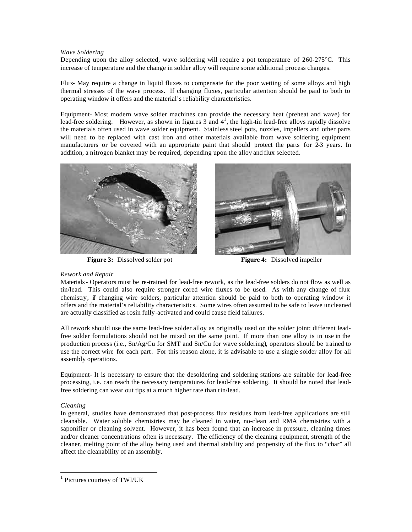#### *Wave Soldering*

Depending upon the alloy selected, wave soldering will require a pot temperature of 260-275°C. This increase of temperature and the change in solder alloy will require some additional process changes.

Flux- May require a change in liquid fluxes to compensate for the poor wetting of some alloys and high thermal stresses of the wave process. If changing fluxes, particular attention should be paid to both to operating window it offers and the material's reliability characteristics.

Equipment- Most modern wave solder machines can provide the necessary heat (preheat and wave) for lead-free soldering. However, as shown in figures 3 and  $4^1$ , the high-tin lead-free alloys rapidly dissolve the materials often used in wave solder equipment. Stainless steel pots, nozzles, impellers and other parts will need to be replaced with cast iron and other materials available from wave soldering equipment manufacturers or be covered with an appropriate paint that should protect the parts for 2-3 years. In addition, a nitrogen blanket may be required, depending upon the alloy and flux selected.





**Figure 3:** Dissolved solder pot **Figure 4:** Dissolved impeller

## *Rework and Repair*

Materials- Operators must be re-trained for lead-free rework, as the lead-free solders do not flow as well as tin/lead. This could also require stronger cored wire fluxes to be used. As with any change of flux chemistry, if changing wire solders, particular attention should be paid to both to operating window it offers and the material's reliability characteristics. Some wires often assumed to be safe to leave uncleaned are actually classified as rosin fully-activated and could cause field failures.

All rework should use the same lead-free solder alloy as originally used on the solder joint; different leadfree solder formulations should not be mixed on the same joint. If more than one alloy is in use in the production process (i.e., Sn/Ag/Cu for SMT and Sn/Cu for wave soldering), operators should be trained to use the correct wire for each part. For this reason alone, it is advisable to use a single solder alloy for all assembly operations.

Equipment- It is necessary to ensure that the desoldering and soldering stations are suitable for lead-free processing, i.e. can reach the necessary temperatures for lead-free soldering. It should be noted that leadfree soldering can wear out tips at a much higher rate than tin/lead.

# *Cleaning*

l

In general, studies have demonstrated that post-process flux residues from lead-free applications are still cleanable. Water soluble chemistries may be cleaned in water, no-clean and RMA chemistries with a saponifier or cleaning solvent. However, it has been found that an increase in pressure, cleaning times and/or cleaner concentrations often is necessary. The efficiency of the cleaning equipment, strength of the cleaner, melting point of the alloy being used and thermal stability and propensity of the flux to "char" all affect the cleanability of an assembly.

<sup>1</sup> Pictures courtesy of TWI/UK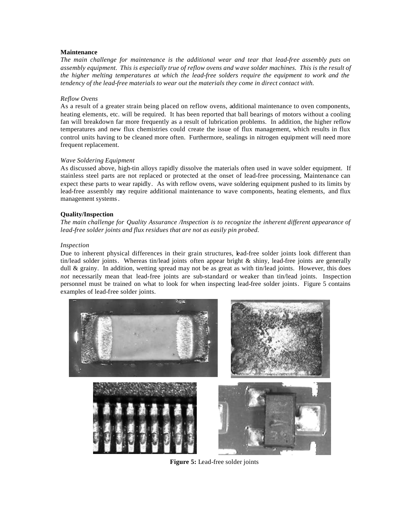# **Maintenance**

*The main challenge for maintenance is the additional wear and tear that lead-free assembly puts on assembly equipment. This is especially true of reflow ovens and wave solder machines. This is the result of the higher melting temperatures at which the lead-free solders require the equipment to work and the tendency of the lead-free materials to wear out the materials they come in direct contact with.*

# *Reflow Ovens*

As a result of a greater strain being placed on reflow ovens, additional maintenance to oven components, heating elements, etc. will be required. It has been reported that ball bearings of motors without a cooling fan will breakdown far more frequently as a result of lubrication problems. In addition, the higher reflow temperatures and new flux chemistries could create the issue of flux management, which results in flux control units having to be cleaned more often. Furthermore, sealings in nitrogen equipment will need more frequent replacement.

# *Wave Soldering Equipment*

As discussed above, high-tin alloys rapidly dissolve the materials often used in wave solder equipment. If stainless steel parts are not replaced or protected at the onset of lead-free processing, Maintenance can expect these parts to wear rapidly. As with reflow ovens, wave soldering equipment pushed to its limits by lead-free assembly may require additional maintenance to wave components, heating elements, and flux management systems.

# **Quality/Inspection**

*The main challenge for Quality Assurance /Inspection is to recognize the inherent different appearance of lead-free solder joints and flux residues that are not as easily pin probed.*

# *Inspection*

Due to inherent physical differences in their grain structures, lead-free solder joints look different than tin/lead solder joints. Whereas tin/lead joints often appear bright & shiny, lead-free joints are generally dull & grainy. In addition, wetting spread may not be as great as with tin/lead joints. However, this does *not* necessarily mean that lead-free joints are sub-standard or weaker than tin/lead joints. Inspection personnel must be trained on what to look for when inspecting lead-free solder joints. Figure 5 contains examples of lead-free solder joints.



**Figure 5:** Lead-free solder joints